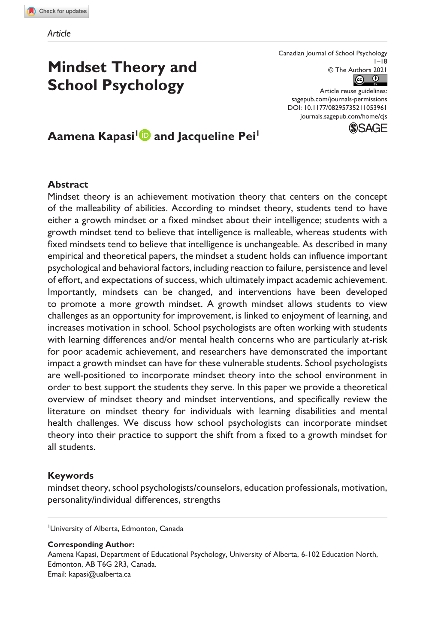# **Mindset Theory and School Psychology**

Canadian Journal of School Psychology  $1 - 18$ © The Authors 2021

DOI: 10.1177/08295735211053961 Article reuse guidelines: [sagepub.com/journals-permissions](https://us.sagepub.com/en-us/journals-permissions) [journals.sagepub.com/home/cjs](https://journals.sagepub.com/home/cjs)



Aamena Kapasi<sup>1</sup> and Jacqueline Pei<sup>1</sup>

#### **Abstract**

Mindset theory is an achievement motivation theory that centers on the concept of the malleability of abilities. According to mindset theory, students tend to have either a growth mindset or a fixed mindset about their intelligence; students with a growth mindset tend to believe that intelligence is malleable, whereas students with fixed mindsets tend to believe that intelligence is unchangeable. As described in many empirical and theoretical papers, the mindset a student holds can influence important psychological and behavioral factors, including reaction to failure, persistence and level of effort, and expectations of success, which ultimately impact academic achievement. Importantly, mindsets can be changed, and interventions have been developed to promote a more growth mindset. A growth mindset allows students to view challenges as an opportunity for improvement, is linked to enjoyment of learning, and increases motivation in school. School psychologists are often working with students with learning differences and/or mental health concerns who are particularly at-risk for poor academic achievement, and researchers have demonstrated the important impact a growth mindset can have for these vulnerable students. School psychologists are well-positioned to incorporate mindset theory into the school environment in order to best support the students they serve. In this paper we provide a theoretical overview of mindset theory and mindset interventions, and specifically review the literature on mindset theory for individuals with learning disabilities and mental health challenges. We discuss how school psychologists can incorporate mindset theory into their practice to support the shift from a fixed to a growth mindset for all students.

#### **Keywords**

mindset theory, school psychologists/counselors, education professionals, motivation, personality/individual differences, strengths

1 University of Alberta, Edmonton, Canada

**Corresponding Author:**

Aamena Kapasi, Department of Educational Psychology, University of Alberta, 6-102 Education North, Edmonton, AB T6G 2R3, Canada. Email: [kapasi@ualberta.ca](mailto:kapasi@ualberta.ca)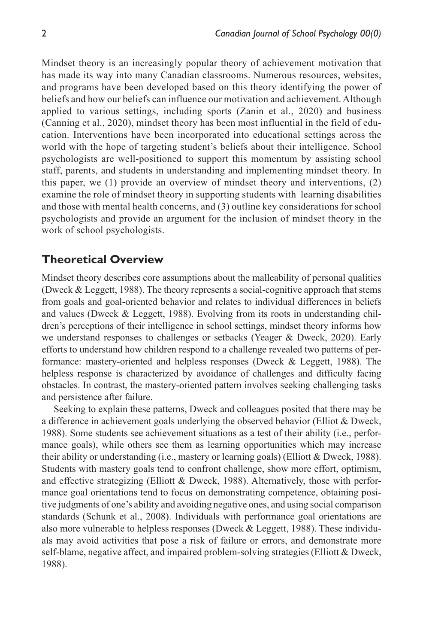Mindset theory is an increasingly popular theory of achievement motivation that has made its way into many Canadian classrooms. Numerous resources, websites, and programs have been developed based on this theory identifying the power of beliefs and how our beliefs can influence our motivation and achievement. Although applied to various settings, including sports (Zanin et al., 2020) and business (Canning et al., 2020), mindset theory has been most influential in the field of education. Interventions have been incorporated into educational settings across the world with the hope of targeting student's beliefs about their intelligence. School psychologists are well-positioned to support this momentum by assisting school staff, parents, and students in understanding and implementing mindset theory. In this paper, we (1) provide an overview of mindset theory and interventions, (2) examine the role of mindset theory in supporting students with learning disabilities and those with mental health concerns, and (3) outline key considerations for school psychologists and provide an argument for the inclusion of mindset theory in the work of school psychologists.

#### **Theoretical Overview**

Mindset theory describes core assumptions about the malleability of personal qualities (Dweck & Leggett, 1988). The theory represents a social-cognitive approach that stems from goals and goal-oriented behavior and relates to individual differences in beliefs and values (Dweck & Leggett, 1988). Evolving from its roots in understanding children's perceptions of their intelligence in school settings, mindset theory informs how we understand responses to challenges or setbacks (Yeager & Dweck, 2020). Early efforts to understand how children respond to a challenge revealed two patterns of performance: mastery-oriented and helpless responses (Dweck & Leggett, 1988). The helpless response is characterized by avoidance of challenges and difficulty facing obstacles. In contrast, the mastery-oriented pattern involves seeking challenging tasks and persistence after failure.

Seeking to explain these patterns, Dweck and colleagues posited that there may be a difference in achievement goals underlying the observed behavior (Elliot & Dweck, 1988). Some students see achievement situations as a test of their ability (i.e., performance goals), while others see them as learning opportunities which may increase their ability or understanding (i.e., mastery or learning goals) (Elliott & Dweck, 1988). Students with mastery goals tend to confront challenge, show more effort, optimism, and effective strategizing (Elliott & Dweck, 1988). Alternatively, those with performance goal orientations tend to focus on demonstrating competence, obtaining positive judgments of one's ability and avoiding negative ones, and using social comparison standards (Schunk et al., 2008). Individuals with performance goal orientations are also more vulnerable to helpless responses (Dweck & Leggett, 1988). These individuals may avoid activities that pose a risk of failure or errors, and demonstrate more self-blame, negative affect, and impaired problem-solving strategies (Elliott & Dweck, 1988).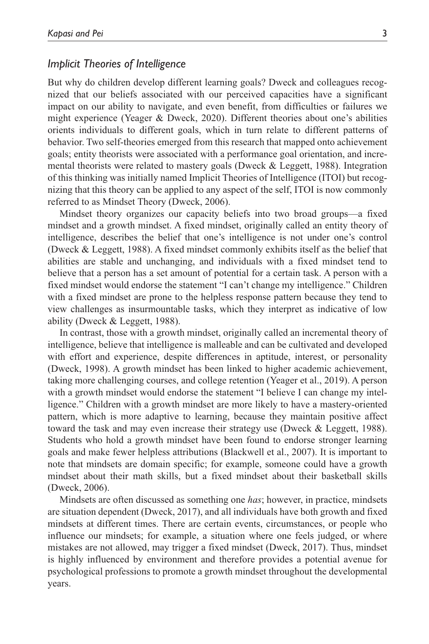#### *Implicit Theories of Intelligence*

But why do children develop different learning goals? Dweck and colleagues recognized that our beliefs associated with our perceived capacities have a significant impact on our ability to navigate, and even benefit, from difficulties or failures we might experience (Yeager & Dweck, 2020). Different theories about one's abilities orients individuals to different goals, which in turn relate to different patterns of behavior. Two self-theories emerged from this research that mapped onto achievement goals; entity theorists were associated with a performance goal orientation, and incremental theorists were related to mastery goals (Dweck  $\&$  Leggett, 1988). Integration of this thinking was initially named Implicit Theories of Intelligence (ITOI) but recognizing that this theory can be applied to any aspect of the self, ITOI is now commonly referred to as Mindset Theory (Dweck, 2006).

Mindset theory organizes our capacity beliefs into two broad groups—a fixed mindset and a growth mindset. A fixed mindset, originally called an entity theory of intelligence, describes the belief that one's intelligence is not under one's control (Dweck & Leggett, 1988). A fixed mindset commonly exhibits itself as the belief that abilities are stable and unchanging, and individuals with a fixed mindset tend to believe that a person has a set amount of potential for a certain task. A person with a fixed mindset would endorse the statement "I can't change my intelligence." Children with a fixed mindset are prone to the helpless response pattern because they tend to view challenges as insurmountable tasks, which they interpret as indicative of low ability (Dweck & Leggett, 1988).

In contrast, those with a growth mindset, originally called an incremental theory of intelligence, believe that intelligence is malleable and can be cultivated and developed with effort and experience, despite differences in aptitude, interest, or personality (Dweck, 1998). A growth mindset has been linked to higher academic achievement, taking more challenging courses, and college retention (Yeager et al., 2019). A person with a growth mindset would endorse the statement "I believe I can change my intelligence." Children with a growth mindset are more likely to have a mastery-oriented pattern, which is more adaptive to learning, because they maintain positive affect toward the task and may even increase their strategy use (Dweck & Leggett, 1988). Students who hold a growth mindset have been found to endorse stronger learning goals and make fewer helpless attributions (Blackwell et al., 2007). It is important to note that mindsets are domain specific; for example, someone could have a growth mindset about their math skills, but a fixed mindset about their basketball skills (Dweck, 2006).

Mindsets are often discussed as something one *has*; however, in practice, mindsets are situation dependent (Dweck, 2017), and all individuals have both growth and fixed mindsets at different times. There are certain events, circumstances, or people who influence our mindsets; for example, a situation where one feels judged, or where mistakes are not allowed, may trigger a fixed mindset (Dweck, 2017). Thus, mindset is highly influenced by environment and therefore provides a potential avenue for psychological professions to promote a growth mindset throughout the developmental years.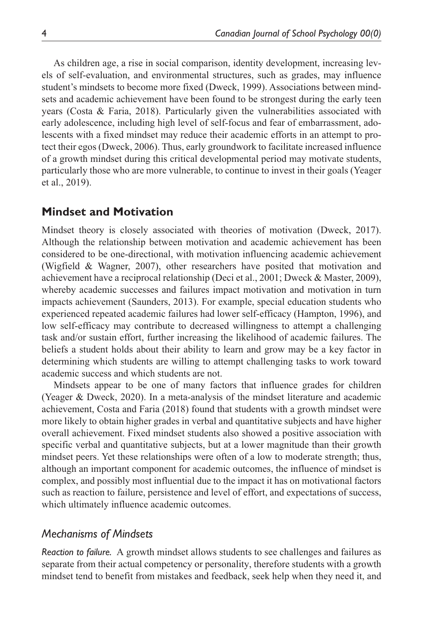As children age, a rise in social comparison, identity development, increasing levels of self-evaluation, and environmental structures, such as grades, may influence student's mindsets to become more fixed (Dweck, 1999). Associations between mindsets and academic achievement have been found to be strongest during the early teen years (Costa & Faria, 2018). Particularly given the vulnerabilities associated with early adolescence, including high level of self-focus and fear of embarrassment, adolescents with a fixed mindset may reduce their academic efforts in an attempt to protect their egos (Dweck, 2006). Thus, early groundwork to facilitate increased influence of a growth mindset during this critical developmental period may motivate students, particularly those who are more vulnerable, to continue to invest in their goals (Yeager et al., 2019).

### **Mindset and Motivation**

Mindset theory is closely associated with theories of motivation (Dweck, 2017). Although the relationship between motivation and academic achievement has been considered to be one-directional, with motivation influencing academic achievement (Wigfield & Wagner, 2007), other researchers have posited that motivation and achievement have a reciprocal relationship (Deci et al., 2001; Dweck & Master, 2009), whereby academic successes and failures impact motivation and motivation in turn impacts achievement (Saunders, 2013). For example, special education students who experienced repeated academic failures had lower self-efficacy (Hampton, 1996), and low self-efficacy may contribute to decreased willingness to attempt a challenging task and/or sustain effort, further increasing the likelihood of academic failures. The beliefs a student holds about their ability to learn and grow may be a key factor in determining which students are willing to attempt challenging tasks to work toward academic success and which students are not.

Mindsets appear to be one of many factors that influence grades for children (Yeager & Dweck, 2020). In a meta-analysis of the mindset literature and academic achievement, Costa and Faria (2018) found that students with a growth mindset were more likely to obtain higher grades in verbal and quantitative subjects and have higher overall achievement. Fixed mindset students also showed a positive association with specific verbal and quantitative subjects, but at a lower magnitude than their growth mindset peers. Yet these relationships were often of a low to moderate strength; thus, although an important component for academic outcomes, the influence of mindset is complex, and possibly most influential due to the impact it has on motivational factors such as reaction to failure, persistence and level of effort, and expectations of success, which ultimately influence academic outcomes.

#### *Mechanisms of Mindsets*

*Reaction to failure.* A growth mindset allows students to see challenges and failures as separate from their actual competency or personality, therefore students with a growth mindset tend to benefit from mistakes and feedback, seek help when they need it, and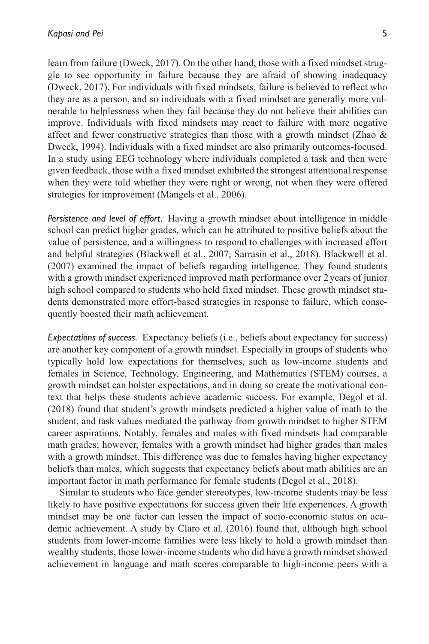learn from failure (Dweck, 2017). On the other hand, those with a fixed mindset struggle to see opportunity in failure because they are afraid of showing inadequacy (Dweck, 2017). For individuals with fixed mindsets, failure is believed to reflect who they are as a person, and so individuals with a fixed mindset are generally more vulnerable to helplessness when they fail because they do not believe their abilities can improve. Individuals with fixed mindsets may react to failure with more negative affect and fewer constructive strategies than those with a growth mindset (Zhao & Dweck, 1994). Individuals with a fixed mindset are also primarily outcomes-focused. In a study using EEG technology where individuals completed a task and then were given feedback, those with a fixed mindset exhibited the strongest attentional response when they were told whether they were right or wrong, not when they were offered strategies for improvement (Mangels et al., 2006).

*Persistence and level of effort.* Having a growth mindset about intelligence in middle school can predict higher grades, which can be attributed to positive beliefs about the value of persistence, and a willingness to respond to challenges with increased effort and helpful strategies (Blackwell et al., 2007; Sarrasin et al., 2018). Blackwell et al. (2007) examined the impact of beliefs regarding intelligence. They found students with a growth mindset experienced improved math performance over 2years of junior high school compared to students who held fixed mindset. These growth mindset students demonstrated more effort-based strategies in response to failure, which consequently boosted their math achievement.

*Expectations of success.* Expectancy beliefs (i.e., beliefs about expectancy for success) are another key component of a growth mindset. Especially in groups of students who typically hold low expectations for themselves, such as low-income students and females in Science, Technology, Engineering, and Mathematics (STEM) courses, a growth mindset can bolster expectations, and in doing so create the motivational context that helps these students achieve academic success. For example, Degol et al. (2018) found that student's growth mindsets predicted a higher value of math to the student, and task values mediated the pathway from growth mindset to higher STEM career aspirations. Notably, females and males with fixed mindsets had comparable math grades; however, females with a growth mindset had higher grades than males with a growth mindset. This difference was due to females having higher expectancy beliefs than males, which suggests that expectancy beliefs about math abilities are an important factor in math performance for female students (Degol et al., 2018).

Similar to students who face gender stereotypes, low-income students may be less likely to have positive expectations for success given their life experiences. A growth mindset may be one factor can lessen the impact of socio-economic status on academic achievement. A study by Claro et al. (2016) found that, although high school students from lower-income families were less likely to hold a growth mindset than wealthy students, those lower-income students who did have a growth mindset showed achievement in language and math scores comparable to high-income peers with a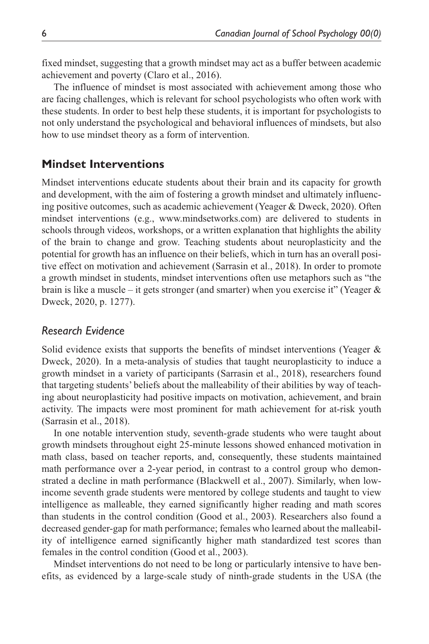fixed mindset, suggesting that a growth mindset may act as a buffer between academic achievement and poverty (Claro et al., 2016).

The influence of mindset is most associated with achievement among those who are facing challenges, which is relevant for school psychologists who often work with these students. In order to best help these students, it is important for psychologists to not only understand the psychological and behavioral influences of mindsets, but also how to use mindset theory as a form of intervention.

## **Mindset Interventions**

Mindset interventions educate students about their brain and its capacity for growth and development, with the aim of fostering a growth mindset and ultimately influencing positive outcomes, such as academic achievement (Yeager & Dweck, 2020). Often mindset interventions (e.g., [www.mindsetworks.com\)](www.mindsetworks.com) are delivered to students in schools through videos, workshops, or a written explanation that highlights the ability of the brain to change and grow. Teaching students about neuroplasticity and the potential for growth has an influence on their beliefs, which in turn has an overall positive effect on motivation and achievement (Sarrasin et al., 2018). In order to promote a growth mindset in students, mindset interventions often use metaphors such as "the brain is like a muscle – it gets stronger (and smarter) when you exercise it" (Yeager  $\&$ Dweck, 2020, p. 1277).

## *Research Evidence*

Solid evidence exists that supports the benefits of mindset interventions (Yeager  $\&$ Dweck, 2020). In a meta-analysis of studies that taught neuroplasticity to induce a growth mindset in a variety of participants (Sarrasin et al., 2018), researchers found that targeting students' beliefs about the malleability of their abilities by way of teaching about neuroplasticity had positive impacts on motivation, achievement, and brain activity. The impacts were most prominent for math achievement for at-risk youth (Sarrasin et al., 2018).

In one notable intervention study, seventh-grade students who were taught about growth mindsets throughout eight 25-minute lessons showed enhanced motivation in math class, based on teacher reports, and, consequently, these students maintained math performance over a 2-year period, in contrast to a control group who demonstrated a decline in math performance (Blackwell et al., 2007). Similarly, when lowincome seventh grade students were mentored by college students and taught to view intelligence as malleable, they earned significantly higher reading and math scores than students in the control condition (Good et al., 2003). Researchers also found a decreased gender-gap for math performance; females who learned about the malleability of intelligence earned significantly higher math standardized test scores than females in the control condition (Good et al., 2003).

Mindset interventions do not need to be long or particularly intensive to have benefits, as evidenced by a large-scale study of ninth-grade students in the USA (the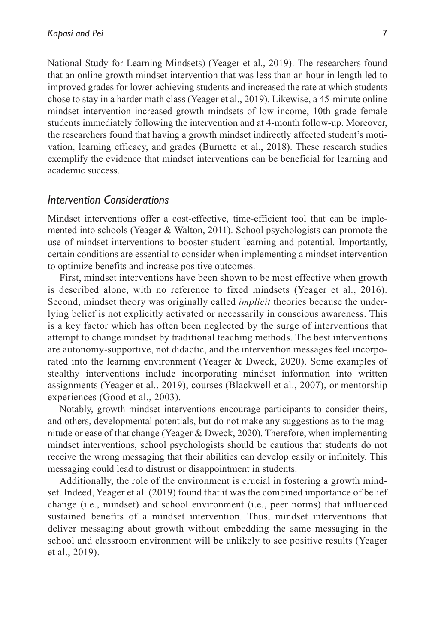National Study for Learning Mindsets) (Yeager et al., 2019). The researchers found that an online growth mindset intervention that was less than an hour in length led to improved grades for lower-achieving students and increased the rate at which students chose to stay in a harder math class (Yeager et al., 2019). Likewise, a 45-minute online mindset intervention increased growth mindsets of low-income, 10th grade female students immediately following the intervention and at 4-month follow-up. Moreover, the researchers found that having a growth mindset indirectly affected student's motivation, learning efficacy, and grades (Burnette et al., 2018). These research studies exemplify the evidence that mindset interventions can be beneficial for learning and academic success.

#### *Intervention Considerations*

Mindset interventions offer a cost-effective, time-efficient tool that can be implemented into schools (Yeager & Walton, 2011). School psychologists can promote the use of mindset interventions to booster student learning and potential. Importantly, certain conditions are essential to consider when implementing a mindset intervention to optimize benefits and increase positive outcomes.

First, mindset interventions have been shown to be most effective when growth is described alone, with no reference to fixed mindsets (Yeager et al., 2016). Second, mindset theory was originally called *implicit* theories because the underlying belief is not explicitly activated or necessarily in conscious awareness. This is a key factor which has often been neglected by the surge of interventions that attempt to change mindset by traditional teaching methods. The best interventions are autonomy-supportive, not didactic, and the intervention messages feel incorporated into the learning environment (Yeager & Dweck, 2020). Some examples of stealthy interventions include incorporating mindset information into written assignments (Yeager et al., 2019), courses (Blackwell et al., 2007), or mentorship experiences (Good et al., 2003).

Notably, growth mindset interventions encourage participants to consider theirs, and others, developmental potentials, but do not make any suggestions as to the magnitude or ease of that change (Yeager & Dweck, 2020). Therefore, when implementing mindset interventions, school psychologists should be cautious that students do not receive the wrong messaging that their abilities can develop easily or infinitely. This messaging could lead to distrust or disappointment in students.

Additionally, the role of the environment is crucial in fostering a growth mindset. Indeed, Yeager et al. (2019) found that it was the combined importance of belief change (i.e., mindset) and school environment (i.e., peer norms) that influenced sustained benefits of a mindset intervention. Thus, mindset interventions that deliver messaging about growth without embedding the same messaging in the school and classroom environment will be unlikely to see positive results (Yeager et al., 2019).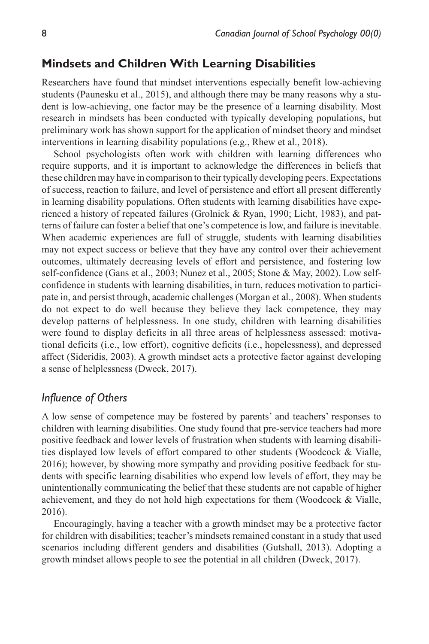## **Mindsets and Children With Learning Disabilities**

Researchers have found that mindset interventions especially benefit low-achieving students (Paunesku et al., 2015), and although there may be many reasons why a student is low-achieving, one factor may be the presence of a learning disability. Most research in mindsets has been conducted with typically developing populations, but preliminary work has shown support for the application of mindset theory and mindset interventions in learning disability populations (e.g., Rhew et al., 2018).

School psychologists often work with children with learning differences who require supports, and it is important to acknowledge the differences in beliefs that these children may have in comparison to their typically developing peers. Expectations of success, reaction to failure, and level of persistence and effort all present differently in learning disability populations. Often students with learning disabilities have experienced a history of repeated failures (Grolnick & Ryan, 1990; Licht, 1983), and patterns of failure can foster a belief that one's competence is low, and failure is inevitable. When academic experiences are full of struggle, students with learning disabilities may not expect success or believe that they have any control over their achievement outcomes, ultimately decreasing levels of effort and persistence, and fostering low self-confidence (Gans et al., 2003; Nunez et al., 2005; Stone & May, 2002). Low selfconfidence in students with learning disabilities, in turn, reduces motivation to participate in, and persist through, academic challenges (Morgan et al., 2008). When students do not expect to do well because they believe they lack competence, they may develop patterns of helplessness. In one study, children with learning disabilities were found to display deficits in all three areas of helplessness assessed: motivational deficits (i.e., low effort), cognitive deficits (i.e., hopelessness), and depressed affect (Sideridis, 2003). A growth mindset acts a protective factor against developing a sense of helplessness (Dweck, 2017).

### *Influence of Others*

A low sense of competence may be fostered by parents' and teachers' responses to children with learning disabilities. One study found that pre-service teachers had more positive feedback and lower levels of frustration when students with learning disabilities displayed low levels of effort compared to other students (Woodcock & Vialle, 2016); however, by showing more sympathy and providing positive feedback for students with specific learning disabilities who expend low levels of effort, they may be unintentionally communicating the belief that these students are not capable of higher achievement, and they do not hold high expectations for them (Woodcock & Vialle, 2016).

Encouragingly, having a teacher with a growth mindset may be a protective factor for children with disabilities; teacher's mindsets remained constant in a study that used scenarios including different genders and disabilities (Gutshall, 2013). Adopting a growth mindset allows people to see the potential in all children (Dweck, 2017).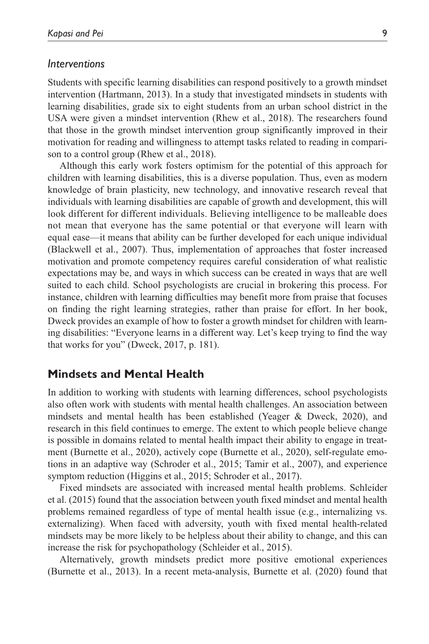#### *Interventions*

Students with specific learning disabilities can respond positively to a growth mindset intervention (Hartmann, 2013). In a study that investigated mindsets in students with learning disabilities, grade six to eight students from an urban school district in the USA were given a mindset intervention (Rhew et al., 2018). The researchers found that those in the growth mindset intervention group significantly improved in their motivation for reading and willingness to attempt tasks related to reading in comparison to a control group (Rhew et al., 2018).

Although this early work fosters optimism for the potential of this approach for children with learning disabilities, this is a diverse population. Thus, even as modern knowledge of brain plasticity, new technology, and innovative research reveal that individuals with learning disabilities are capable of growth and development, this will look different for different individuals. Believing intelligence to be malleable does not mean that everyone has the same potential or that everyone will learn with equal ease—it means that ability can be further developed for each unique individual (Blackwell et al., 2007). Thus, implementation of approaches that foster increased motivation and promote competency requires careful consideration of what realistic expectations may be, and ways in which success can be created in ways that are well suited to each child. School psychologists are crucial in brokering this process. For instance, children with learning difficulties may benefit more from praise that focuses on finding the right learning strategies, rather than praise for effort. In her book, Dweck provides an example of how to foster a growth mindset for children with learning disabilities: "Everyone learns in a different way. Let's keep trying to find the way that works for you" (Dweck, 2017, p. 181).

### **Mindsets and Mental Health**

In addition to working with students with learning differences, school psychologists also often work with students with mental health challenges. An association between mindsets and mental health has been established (Yeager & Dweck, 2020), and research in this field continues to emerge. The extent to which people believe change is possible in domains related to mental health impact their ability to engage in treatment (Burnette et al., 2020), actively cope (Burnette et al., 2020), self-regulate emotions in an adaptive way (Schroder et al., 2015; Tamir et al., 2007), and experience symptom reduction (Higgins et al., 2015; Schroder et al., 2017).

Fixed mindsets are associated with increased mental health problems. Schleider et al. (2015) found that the association between youth fixed mindset and mental health problems remained regardless of type of mental health issue (e.g., internalizing vs. externalizing). When faced with adversity, youth with fixed mental health-related mindsets may be more likely to be helpless about their ability to change, and this can increase the risk for psychopathology (Schleider et al., 2015).

Alternatively, growth mindsets predict more positive emotional experiences (Burnette et al., 2013). In a recent meta-analysis, Burnette et al. (2020) found that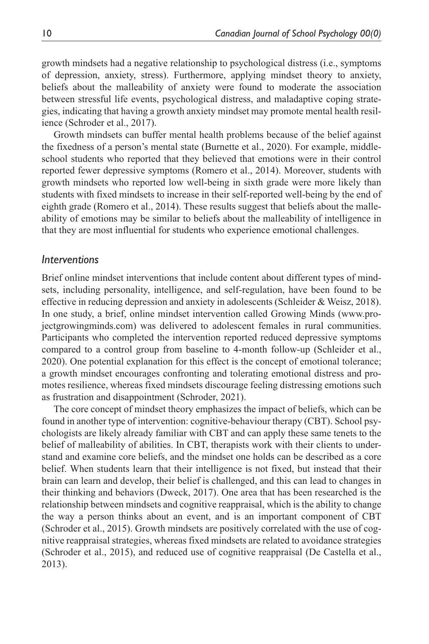growth mindsets had a negative relationship to psychological distress (i.e., symptoms of depression, anxiety, stress). Furthermore, applying mindset theory to anxiety, beliefs about the malleability of anxiety were found to moderate the association between stressful life events, psychological distress, and maladaptive coping strategies, indicating that having a growth anxiety mindset may promote mental health resilience (Schroder et al., 2017).

Growth mindsets can buffer mental health problems because of the belief against the fixedness of a person's mental state (Burnette et al., 2020). For example, middleschool students who reported that they believed that emotions were in their control reported fewer depressive symptoms (Romero et al., 2014). Moreover, students with growth mindsets who reported low well-being in sixth grade were more likely than students with fixed mindsets to increase in their self-reported well-being by the end of eighth grade (Romero et al., 2014). These results suggest that beliefs about the malleability of emotions may be similar to beliefs about the malleability of intelligence in that they are most influential for students who experience emotional challenges.

#### *Interventions*

Brief online mindset interventions that include content about different types of mindsets, including personality, intelligence, and self-regulation, have been found to be effective in reducing depression and anxiety in adolescents (Schleider & Weisz, 2018). In one study, a brief, online mindset intervention called Growing Minds ([www.pro](www.projectgrowingminds.com)[jectgrowingminds.com\)](www.projectgrowingminds.com) was delivered to adolescent females in rural communities. Participants who completed the intervention reported reduced depressive symptoms compared to a control group from baseline to 4-month follow-up (Schleider et al., 2020). One potential explanation for this effect is the concept of emotional tolerance; a growth mindset encourages confronting and tolerating emotional distress and promotes resilience, whereas fixed mindsets discourage feeling distressing emotions such as frustration and disappointment (Schroder, 2021).

The core concept of mindset theory emphasizes the impact of beliefs, which can be found in another type of intervention: cognitive-behaviour therapy (CBT). School psychologists are likely already familiar with CBT and can apply these same tenets to the belief of malleability of abilities. In CBT, therapists work with their clients to understand and examine core beliefs, and the mindset one holds can be described as a core belief. When students learn that their intelligence is not fixed, but instead that their brain can learn and develop, their belief is challenged, and this can lead to changes in their thinking and behaviors (Dweck, 2017). One area that has been researched is the relationship between mindsets and cognitive reappraisal, which is the ability to change the way a person thinks about an event, and is an important component of CBT (Schroder et al., 2015). Growth mindsets are positively correlated with the use of cognitive reappraisal strategies, whereas fixed mindsets are related to avoidance strategies (Schroder et al., 2015), and reduced use of cognitive reappraisal (De Castella et al., 2013).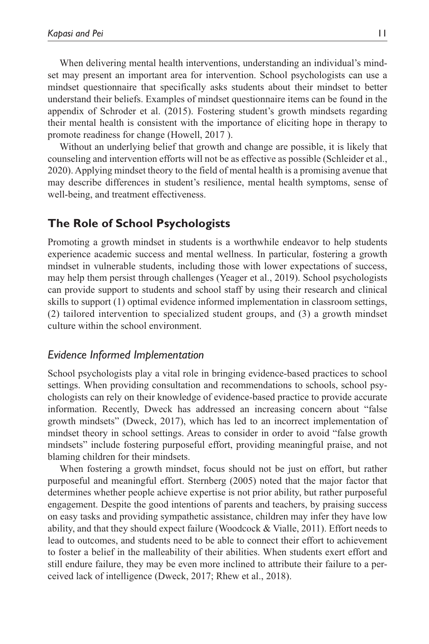When delivering mental health interventions, understanding an individual's mindset may present an important area for intervention. School psychologists can use a mindset questionnaire that specifically asks students about their mindset to better understand their beliefs. Examples of mindset questionnaire items can be found in the appendix of Schroder et al. (2015). Fostering student's growth mindsets regarding their mental health is consistent with the importance of eliciting hope in therapy to promote readiness for change (Howell, 2017 ).

Without an underlying belief that growth and change are possible, it is likely that counseling and intervention efforts will not be as effective as possible (Schleider et al., 2020). Applying mindset theory to the field of mental health is a promising avenue that may describe differences in student's resilience, mental health symptoms, sense of well-being, and treatment effectiveness.

## **The Role of School Psychologists**

Promoting a growth mindset in students is a worthwhile endeavor to help students experience academic success and mental wellness. In particular, fostering a growth mindset in vulnerable students, including those with lower expectations of success, may help them persist through challenges (Yeager et al., 2019). School psychologists can provide support to students and school staff by using their research and clinical skills to support (1) optimal evidence informed implementation in classroom settings, (2) tailored intervention to specialized student groups, and (3) a growth mindset culture within the school environment.

#### *Evidence Informed Implementation*

School psychologists play a vital role in bringing evidence-based practices to school settings. When providing consultation and recommendations to schools, school psychologists can rely on their knowledge of evidence-based practice to provide accurate information. Recently, Dweck has addressed an increasing concern about "false growth mindsets" (Dweck, 2017), which has led to an incorrect implementation of mindset theory in school settings. Areas to consider in order to avoid "false growth mindsets" include fostering purposeful effort, providing meaningful praise, and not blaming children for their mindsets.

When fostering a growth mindset, focus should not be just on effort, but rather purposeful and meaningful effort. Sternberg (2005) noted that the major factor that determines whether people achieve expertise is not prior ability, but rather purposeful engagement. Despite the good intentions of parents and teachers, by praising success on easy tasks and providing sympathetic assistance, children may infer they have low ability, and that they should expect failure (Woodcock & Vialle, 2011). Effort needs to lead to outcomes, and students need to be able to connect their effort to achievement to foster a belief in the malleability of their abilities. When students exert effort and still endure failure, they may be even more inclined to attribute their failure to a perceived lack of intelligence (Dweck, 2017; Rhew et al., 2018).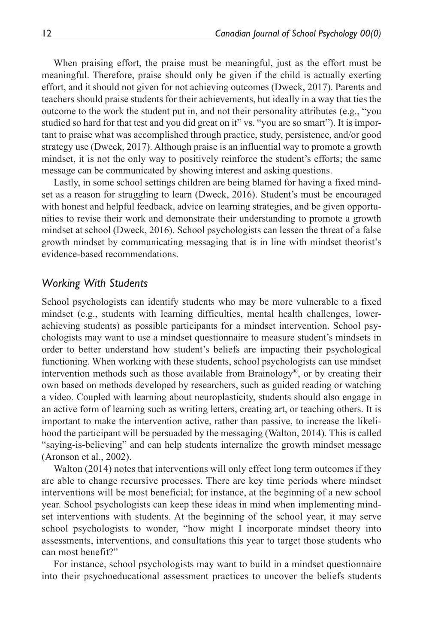When praising effort, the praise must be meaningful, just as the effort must be meaningful. Therefore, praise should only be given if the child is actually exerting effort, and it should not given for not achieving outcomes (Dweck, 2017). Parents and teachers should praise students for their achievements, but ideally in a way that ties the outcome to the work the student put in, and not their personality attributes (e.g., "you studied so hard for that test and you did great on it" vs. "you are so smart"). It is important to praise what was accomplished through practice, study, persistence, and/or good strategy use (Dweck, 2017). Although praise is an influential way to promote a growth mindset, it is not the only way to positively reinforce the student's efforts; the same message can be communicated by showing interest and asking questions.

Lastly, in some school settings children are being blamed for having a fixed mindset as a reason for struggling to learn (Dweck, 2016). Student's must be encouraged with honest and helpful feedback, advice on learning strategies, and be given opportunities to revise their work and demonstrate their understanding to promote a growth mindset at school (Dweck, 2016). School psychologists can lessen the threat of a false growth mindset by communicating messaging that is in line with mindset theorist's evidence-based recommendations.

#### *Working With Students*

School psychologists can identify students who may be more vulnerable to a fixed mindset (e.g., students with learning difficulties, mental health challenges, lowerachieving students) as possible participants for a mindset intervention. School psychologists may want to use a mindset questionnaire to measure student's mindsets in order to better understand how student's beliefs are impacting their psychological functioning. When working with these students, school psychologists can use mindset intervention methods such as those available from Brainology<sup>®</sup>, or by creating their own based on methods developed by researchers, such as guided reading or watching a video. Coupled with learning about neuroplasticity, students should also engage in an active form of learning such as writing letters, creating art, or teaching others. It is important to make the intervention active, rather than passive, to increase the likelihood the participant will be persuaded by the messaging (Walton, 2014). This is called "saying-is-believing" and can help students internalize the growth mindset message (Aronson et al., 2002).

Walton (2014) notes that interventions will only effect long term outcomes if they are able to change recursive processes. There are key time periods where mindset interventions will be most beneficial; for instance, at the beginning of a new school year. School psychologists can keep these ideas in mind when implementing mindset interventions with students. At the beginning of the school year, it may serve school psychologists to wonder, "how might I incorporate mindset theory into assessments, interventions, and consultations this year to target those students who can most benefit?"

For instance, school psychologists may want to build in a mindset questionnaire into their psychoeducational assessment practices to uncover the beliefs students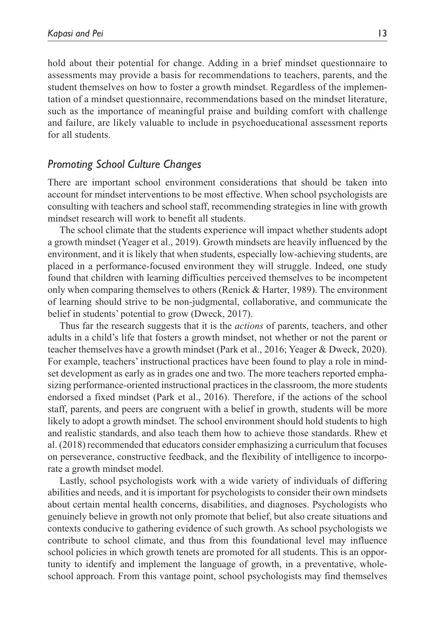hold about their potential for change. Adding in a brief mindset questionnaire to assessments may provide a basis for recommendations to teachers, parents, and the student themselves on how to foster a growth mindset. Regardless of the implementation of a mindset questionnaire, recommendations based on the mindset literature, such as the importance of meaningful praise and building comfort with challenge and failure, are likely valuable to include in psychoeducational assessment reports for all students.

#### *Promoting School Culture Changes*

There are important school environment considerations that should be taken into account for mindset interventions to be most effective. When school psychologists are consulting with teachers and school staff, recommending strategies in line with growth mindset research will work to benefit all students.

The school climate that the students experience will impact whether students adopt a growth mindset (Yeager et al., 2019). Growth mindsets are heavily influenced by the environment, and it is likely that when students, especially low-achieving students, are placed in a performance-focused environment they will struggle. Indeed, one study found that children with learning difficulties perceived themselves to be incompetent only when comparing themselves to others (Renick & Harter, 1989). The environment of learning should strive to be non-judgmental, collaborative, and communicate the belief in students' potential to grow (Dweck, 2017).

Thus far the research suggests that it is the *actions* of parents, teachers, and other adults in a child's life that fosters a growth mindset, not whether or not the parent or teacher themselves have a growth mindset (Park et al., 2016; Yeager & Dweck, 2020). For example, teachers' instructional practices have been found to play a role in mindset development as early as in grades one and two. The more teachers reported emphasizing performance-oriented instructional practices in the classroom, the more students endorsed a fixed mindset (Park et al., 2016). Therefore, if the actions of the school staff, parents, and peers are congruent with a belief in growth, students will be more likely to adopt a growth mindset. The school environment should hold students to high and realistic standards, and also teach them how to achieve those standards. Rhew et al. (2018) recommended that educators consider emphasizing a curriculum that focuses on perseverance, constructive feedback, and the flexibility of intelligence to incorporate a growth mindset model.

Lastly, school psychologists work with a wide variety of individuals of differing abilities and needs, and it is important for psychologists to consider their own mindsets about certain mental health concerns, disabilities, and diagnoses. Psychologists who genuinely believe in growth not only promote that belief, but also create situations and contexts conducive to gathering evidence of such growth. As school psychologists we contribute to school climate, and thus from this foundational level may influence school policies in which growth tenets are promoted for all students. This is an opportunity to identify and implement the language of growth, in a preventative, wholeschool approach. From this vantage point, school psychologists may find themselves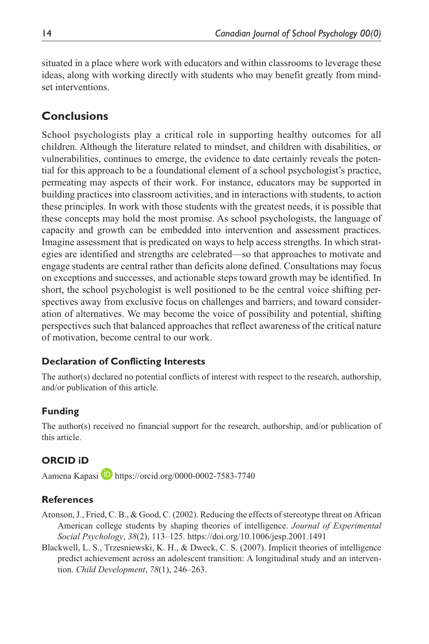situated in a place where work with educators and within classrooms to leverage these ideas, along with working directly with students who may benefit greatly from mindset interventions.

# **Conclusions**

School psychologists play a critical role in supporting healthy outcomes for all children. Although the literature related to mindset, and children with disabilities, or vulnerabilities, continues to emerge, the evidence to date certainly reveals the potential for this approach to be a foundational element of a school psychologist's practice, permeating may aspects of their work. For instance, educators may be supported in building practices into classroom activities, and in interactions with students, to action these principles. In work with those students with the greatest needs, it is possible that these concepts may hold the most promise. As school psychologists, the language of capacity and growth can be embedded into intervention and assessment practices. Imagine assessment that is predicated on ways to help access strengths. In which strategies are identified and strengths are celebrated—so that approaches to motivate and engage students are central rather than deficits alone defined. Consultations may focus on exceptions and successes, and actionable steps toward growth may be identified. In short, the school psychologist is well positioned to be the central voice shifting perspectives away from exclusive focus on challenges and barriers, and toward consideration of alternatives. We may become the voice of possibility and potential, shifting perspectives such that balanced approaches that reflect awareness of the critical nature of motivation, become central to our work.

## **Declaration of Conflicting Interests**

The author(s) declared no potential conflicts of interest with respect to the research, authorship, and/or publication of this article.

## **Funding**

The author(s) received no financial support for the research, authorship, and/or publication of this article.

# **ORCID iD**

Aamena Kapasi D <https://orcid.org/0000-0002-7583-7740>

## **References**

- Aronson, J., Fried, C. B., & Good, C. (2002). Reducing the effects of stereotype threat on African American college students by shaping theories of intelligence. *Journal of Experimental Social Psychology*, *38*(2), 113–125. <https://doi.org/10.1006/jesp.2001.1491>
- Blackwell, L. S., Trzesniewski, K. H., & Dweck, C. S. (2007). Implicit theories of intelligence predict achievement across an adolescent transition: A longitudinal study and an intervention. *Child Development*, *78*(1), 246–263.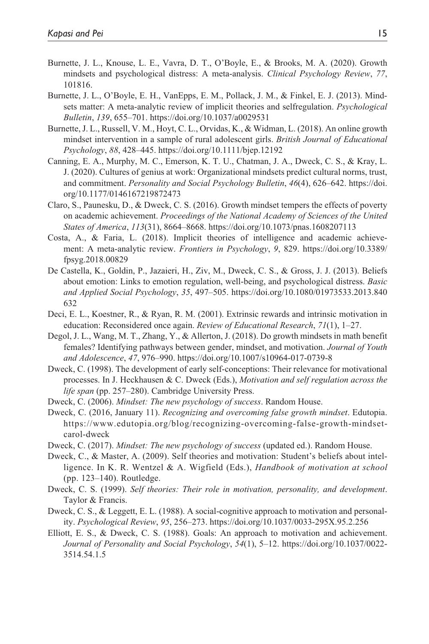- Burnette, J. L., Knouse, L. E., Vavra, D. T., O'Boyle, E., & Brooks, M. A. (2020). Growth mindsets and psychological distress: A meta-analysis. *Clinical Psychology Review*, *77*, 101816.
- Burnette, J. L., O'Boyle, E. H., VanEpps, E. M., Pollack, J. M., & Finkel, E. J. (2013). Mindsets matter: A meta-analytic review of implicit theories and selfregulation. *Psychological Bulletin*, *139*, 655–701.<https://doi.org/10.1037/a0029531>
- Burnette, J. L., Russell, V. M., Hoyt, C. L., Orvidas, K., & Widman, L. (2018). An online growth mindset intervention in a sample of rural adolescent girls. *British Journal of Educational Psychology*, *88*, 428–445.<https://doi.org/10.1111/bjep.12192>
- Canning, E. A., Murphy, M. C., Emerson, K. T. U., Chatman, J. A., Dweck, C. S., & Kray, L. J. (2020). Cultures of genius at work: Organizational mindsets predict cultural norms, trust, and commitment. *Personality and Social Psychology Bulletin*, *46*(4), 626–642. [https://doi.](https://doi.org/10.1177/0146167219872473) [org/10.1177/0146167219872473](https://doi.org/10.1177/0146167219872473)
- Claro, S., Paunesku, D., & Dweck, C. S. (2016). Growth mindset tempers the effects of poverty on academic achievement. *Proceedings of the National Academy of Sciences of the United States of America*, *113*(31), 8664–8668. <https://doi.org/10.1073/pnas.1608207113>
- Costa, A., & Faria, L. (2018). Implicit theories of intelligence and academic achievement: A meta-analytic review. *Frontiers in Psychology*, *9*, 829. [https://doi.org/10.3389/](https://doi.org/10.3389/fpsyg.2018.00829) [fpsyg.2018.00829](https://doi.org/10.3389/fpsyg.2018.00829)
- De Castella, K., Goldin, P., Jazaieri, H., Ziv, M., Dweck, C. S., & Gross, J. J. (2013). Beliefs about emotion: Links to emotion regulation, well-being, and psychological distress. *Basic and Applied Social Psychology*, *35*, 497–505. [https://doi.org/10.1080/01973533.2013.840](https://doi.org/10.1080/01973533.2013.840632) [632](https://doi.org/10.1080/01973533.2013.840632)
- Deci, E. L., Koestner, R., & Ryan, R. M. (2001). Extrinsic rewards and intrinsic motivation in education: Reconsidered once again. *Review of Educational Research*, *71*(1), 1–27.
- Degol, J. L., Wang, M. T., Zhang, Y., & Allerton, J. (2018). Do growth mindsets in math benefit females? Identifying pathways between gender, mindset, and motivation. *Journal of Youth and Adolescence*, *47*, 976–990. <https://doi.org/10.1007/s10964-017-0739-8>
- Dweck, C. (1998). The development of early self-conceptions: Their relevance for motivational processes. In J. Heckhausen & C. Dweck (Eds.), *Motivation and self regulation across the life span* (pp. 257–280). Cambridge University Press.
- Dweck, C. (2006). *Mindset: The new psychology of success*. Random House.
- Dweck, C. (2016, January 11). *Recognizing and overcoming false growth mindset*. Edutopia. [https://www.edutopia.org/blog/recognizing-overcoming-false-growth-mindset](https://www.edutopia.org/blog/recognizing-overcoming-false-growth-mindset-carol-dweck)[carol-dweck](https://www.edutopia.org/blog/recognizing-overcoming-false-growth-mindset-carol-dweck)
- Dweck, C. (2017). *Mindset: The new psychology of success* (updated ed.). Random House.
- Dweck, C., & Master, A. (2009). Self theories and motivation: Student's beliefs about intelligence. In K. R. Wentzel & A. Wigfield (Eds.), *Handbook of motivation at school* (pp. 123–140). Routledge.
- Dweck, C. S. (1999). *Self theories: Their role in motivation, personality, and development*. Taylor & Francis.
- Dweck, C. S., & Leggett, E. L. (1988). A social-cognitive approach to motivation and personality. *Psychological Review*, *95*, 256–273.<https://doi.org/10.1037/0033-295X.95.2.256>
- Elliott, E. S., & Dweck, C. S. (1988). Goals: An approach to motivation and achievement. *Journal of Personality and Social Psychology*, *54*(1), 5–12. [https://doi.org/10.1037/0022-](https://doi.org/10.1037/0022-3514.54.1.5) [3514.54.1.5](https://doi.org/10.1037/0022-3514.54.1.5)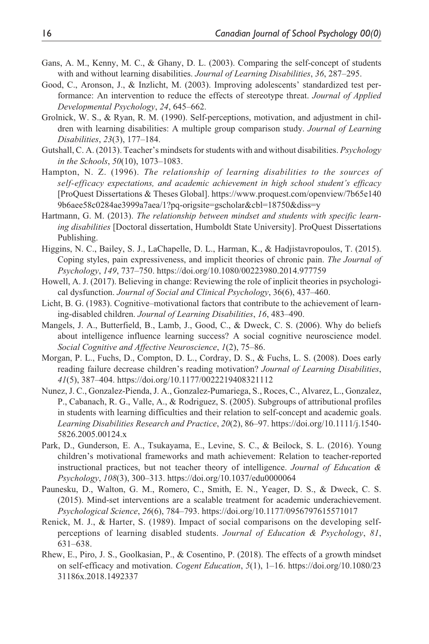- Gans, A. M., Kenny, M. C., & Ghany, D. L. (2003). Comparing the self-concept of students with and without learning disabilities. *Journal of Learning Disabilities*, *36*, 287–295.
- Good, C., Aronson, J., & Inzlicht, M. (2003). Improving adolescents' standardized test performance: An intervention to reduce the effects of stereotype threat. *Journal of Applied Developmental Psychology*, *24*, 645–662.
- Grolnick, W. S., & Ryan, R. M. (1990). Self-perceptions, motivation, and adjustment in children with learning disabilities: A multiple group comparison study. *Journal of Learning Disabilities*, *23*(3), 177–184.
- Gutshall, C. A. (2013). Teacher's mindsets for students with and without disabilities. *Psychology in the Schools*, *50*(10), 1073–1083.
- Hampton, N. Z. (1996). *The relationship of learning disabilities to the sources of self-efficacy expectations, and academic achievement in high school student's efficacy* [ProQuest Dissertations & Theses Global]. [https://www.proquest.com/openview/7b65e140](https://www.proquest.com/openview/7b65e1409b6aee58c0284ae3999a7aea/1?pq-origsite=gscholar&cbl=18750&diss=y) [9b6aee58c0284ae3999a7aea/1?pq-origsite=gscholar&cbl=18750&diss=y](https://www.proquest.com/openview/7b65e1409b6aee58c0284ae3999a7aea/1?pq-origsite=gscholar&cbl=18750&diss=y)
- Hartmann, G. M. (2013). *The relationship between mindset and students with specific learning disabilities* [Doctoral dissertation, Humboldt State University]. ProQuest Dissertations Publishing.
- Higgins, N. C., Bailey, S. J., LaChapelle, D. L., Harman, K., & Hadjistavropoulos, T. (2015). Coping styles, pain expressiveness, and implicit theories of chronic pain. *The Journal of Psychology*, *149*, 737–750. <https://doi.org/10.1080/00223980.2014.977759>
- Howell, A. J. (2017). Believing in change: Reviewing the role of inplicit theories in psychological dysfunction. *Journal of Social and Clinical Psychology*, 36(6), 437–460.
- Licht, B. G. (1983). Cognitive–motivational factors that contribute to the achievement of learning-disabled children. *Journal of Learning Disabilities*, *16*, 483–490.
- Mangels, J. A., Butterfield, B., Lamb, J., Good, C., & Dweck, C. S. (2006). Why do beliefs about intelligence influence learning success? A social cognitive neuroscience model. *Social Cognitive and Affective Neuroscience*, *1*(2), 75–86.
- Morgan, P. L., Fuchs, D., Compton, D. L., Cordray, D. S., & Fuchs, L. S. (2008). Does early reading failure decrease children's reading motivation? *Journal of Learning Disabilities*, *41*(5), 387–404. <https://doi.org/10.1177/0022219408321112>
- Nunez, J. C., Gonzalez-Pienda, J. A., Gonzalez-Pumariega, S., Roces, C., Alvarez, L., Gonzalez, P., Cabanach, R. G., Valle, A., & Rodriguez, S. (2005). Subgroups of attributional profiles in students with learning difficulties and their relation to self-concept and academic goals. *Learning Disabilities Research and Practice*, *20*(2), 86–97. [https://doi.org/10.1111/j.1540-](https://doi.org/10.1111/j.1540-5826.2005.00124.x) [5826.2005.00124.x](https://doi.org/10.1111/j.1540-5826.2005.00124.x)
- Park, D., Gunderson, E. A., Tsukayama, E., Levine, S. C., & Beilock, S. L. (2016). Young children's motivational frameworks and math achievement: Relation to teacher-reported instructional practices, but not teacher theory of intelligence. *Journal of Education & Psychology*, *108*(3), 300–313.<https://doi.org/10.1037/edu0000064>
- Paunesku, D., Walton, G. M., Romero, C., Smith, E. N., Yeager, D. S., & Dweck, C. S. (2015). Mind-set interventions are a scalable treatment for academic underachievement. *Psychological Science*, *26*(6), 784–793.<https://doi.org/10.1177/0956797615571017>
- Renick, M. J., & Harter, S. (1989). Impact of social comparisons on the developing selfperceptions of learning disabled students. *Journal of Education & Psychology*, *81*, 631–638.
- Rhew, E., Piro, J. S., Goolkasian, P., & Cosentino, P. (2018). The effects of a growth mindset on self-efficacy and motivation. *Cogent Education*, *5*(1), 1–16. [https://doi.org/10.1080/23](https://doi.org/10.1080/2331186x.2018.1492337) [31186x.2018.1492337](https://doi.org/10.1080/2331186x.2018.1492337)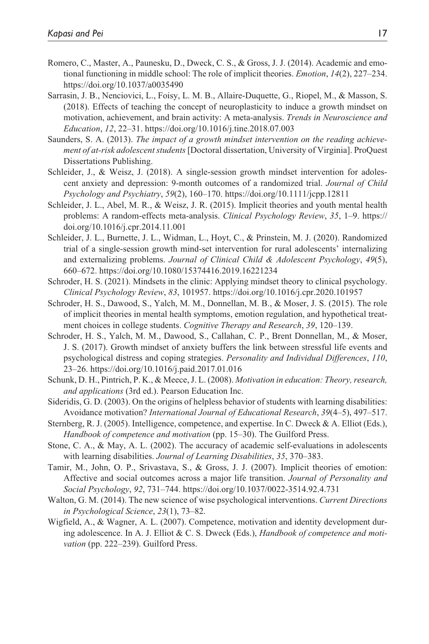- Romero, C., Master, A., Paunesku, D., Dweck, C. S., & Gross, J. J. (2014). Academic and emotional functioning in middle school: The role of implicit theories. *Emotion*, *14*(2), 227–234. <https://doi.org/10.1037/a0035490>
- Sarrasin, J. B., Nenciovici, L., Foisy, L. M. B., Allaire-Duquette, G., Riopel, M., & Masson, S. (2018). Effects of teaching the concept of neuroplasticity to induce a growth mindset on motivation, achievement, and brain activity: A meta-analysis. *Trends in Neuroscience and Education*, *12*, 22–31.<https://doi.org/10.1016/j.tine.2018.07.003>
- Saunders, S. A. (2013). *The impact of a growth mindset intervention on the reading achievement of at-risk adolescent students* [Doctoral dissertation, University of Virginia]. ProQuest Dissertations Publishing.
- Schleider, J., & Weisz, J. (2018). A single-session growth mindset intervention for adolescent anxiety and depression: 9-month outcomes of a randomized trial. *Journal of Child Psychology and Psychiatry*, *59*(2), 160–170.<https://doi.org/10.1111/jcpp.12811>
- Schleider, J. L., Abel, M. R., & Weisz, J. R. (2015). Implicit theories and youth mental health problems: A random-effects meta-analysis. *Clinical Psychology Review*, *35*, 1–9. [https://](https://doi.org/10.1016/j.cpr.2014.11.001) [doi.org/10.1016/j.cpr.2014.11.001](https://doi.org/10.1016/j.cpr.2014.11.001)
- Schleider, J. L., Burnette, J. L., Widman, L., Hoyt, C., & Prinstein, M. J. (2020). Randomized trial of a single-session growth mind-set intervention for rural adolescents' internalizing and externalizing problems. *Journal of Clinical Child & Adolescent Psychology*, *49*(5), 660–672.<https://doi.org/10.1080/15374416.2019.16221234>
- Schroder, H. S. (2021). Mindsets in the clinic: Applying mindset theory to clinical psychology. *Clinical Psychology Review*, *83*, 101957.<https://doi.org/10.1016/j.cpr.2020.101957>
- Schroder, H. S., Dawood, S., Yalch, M. M., Donnellan, M. B., & Moser, J. S. (2015). The role of implicit theories in mental health symptoms, emotion regulation, and hypothetical treatment choices in college students. *Cognitive Therapy and Research*, *39*, 120–139.
- Schroder, H. S., Yalch, M. M., Dawood, S., Callahan, C. P., Brent Donnellan, M., & Moser, J. S. (2017). Growth mindset of anxiety buffers the link between stressful life events and psychological distress and coping strategies. *Personality and Individual Differences*, *110*, 23–26.<https://doi.org/10.1016/j.paid.2017.01.016>
- Schunk, D. H., Pintrich, P. K., & Meece, J. L. (2008). *Motivation in education: Theory, research, and applications* (3rd ed.). Pearson Education Inc.
- Sideridis, G. D. (2003). On the origins of helpless behavior of students with learning disabilities: Avoidance motivation? *International Journal of Educational Research*, *39*(4–5), 497–517.
- Sternberg, R. J. (2005). Intelligence, competence, and expertise. In C. Dweck & A. Elliot (Eds.), *Handbook of competence and motivation* (pp. 15–30). The Guilford Press.
- Stone, C. A., & May, A. L. (2002). The accuracy of academic self-evaluations in adolescents with learning disabilities. *Journal of Learning Disabilities*, *35*, 370–383.
- Tamir, M., John, O. P., Srivastava, S., & Gross, J. J. (2007). Implicit theories of emotion: Affective and social outcomes across a major life transition. *Journal of Personality and Social Psychology*, *92*, 731–744.<https://doi.org/10.1037/0022-3514.92.4.731>
- Walton, G. M. (2014). The new science of wise psychological interventions. *Current Directions in Psychological Science*, *23*(1), 73–82.
- Wigfield, A., & Wagner, A. L. (2007). Competence, motivation and identity development during adolescence. In A. J. Elliot & C. S. Dweck (Eds.), *Handbook of competence and motivation* (pp. 222–239). Guilford Press.